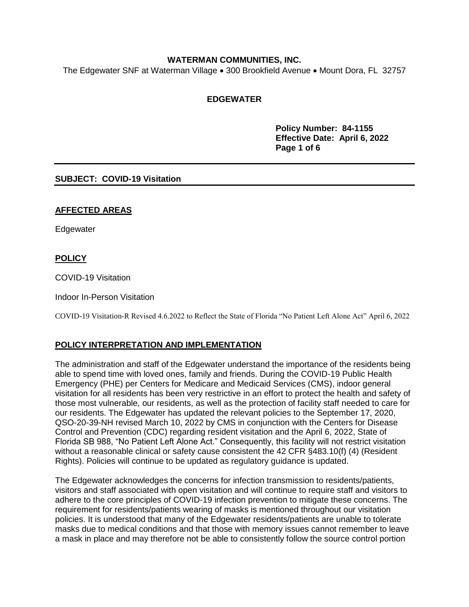## **WATERMAN COMMUNITIES, INC.**

The Edgewater SNF at Waterman Village • 300 Brookfield Avenue • Mount Dora, FL 32757

# **EDGEWATER**

**Policy Number: 84-1155 Effective Date: April 6, 2022 Page 1 of 6**

## **SUBJECT: COVID-19 Visitation**

#### **AFFECTED AREAS**

Edgewater

## **POLICY**

COVID-19 Visitation

Indoor In-Person Visitation

COVID-19 Visitation-R Revised 4.6.2022 to Reflect the State of Florida "No Patient Left Alone Act" April 6, 2022

## **POLICY INTERPRETATION AND IMPLEMENTATION**

The administration and staff of the Edgewater understand the importance of the residents being able to spend time with loved ones, family and friends. During the COVID-19 Public Health Emergency (PHE) per Centers for Medicare and Medicaid Services (CMS), indoor general visitation for all residents has been very restrictive in an effort to protect the health and safety of those most vulnerable, our residents, as well as the protection of facility staff needed to care for our residents. The Edgewater has updated the relevant policies to the September 17, 2020, QSO-20-39-NH revised March 10, 2022 by CMS in conjunction with the Centers for Disease Control and Prevention (CDC) regarding resident visitation and the April 6, 2022, State of Florida SB 988, "No Patient Left Alone Act." Consequently, this facility will not restrict visitation without a reasonable clinical or safety cause consistent the 42 CFR §483.10(f) (4) (Resident Rights). Policies will continue to be updated as regulatory guidance is updated.

The Edgewater acknowledges the concerns for infection transmission to residents/patients, visitors and staff associated with open visitation and will continue to require staff and visitors to adhere to the core principles of COVID-19 infection prevention to mitigate these concerns. The requirement for residents/patients wearing of masks is mentioned throughout our visitation policies. It is understood that many of the Edgewater residents/patients are unable to tolerate masks due to medical conditions and that those with memory issues cannot remember to leave a mask in place and may therefore not be able to consistently follow the source control portion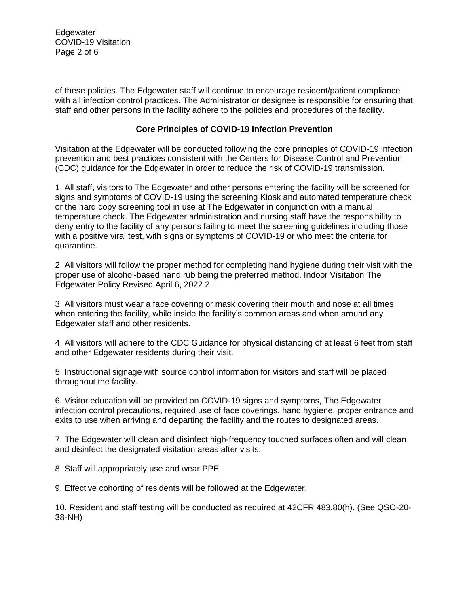Edgewater COVID-19 Visitation Page 2 of 6

of these policies. The Edgewater staff will continue to encourage resident/patient compliance with all infection control practices. The Administrator or designee is responsible for ensuring that staff and other persons in the facility adhere to the policies and procedures of the facility.

### **Core Principles of COVID-19 Infection Prevention**

Visitation at the Edgewater will be conducted following the core principles of COVID-19 infection prevention and best practices consistent with the Centers for Disease Control and Prevention (CDC) guidance for the Edgewater in order to reduce the risk of COVID-19 transmission.

1. All staff, visitors to The Edgewater and other persons entering the facility will be screened for signs and symptoms of COVID-19 using the screening Kiosk and automated temperature check or the hard copy screening tool in use at The Edgewater in conjunction with a manual temperature check. The Edgewater administration and nursing staff have the responsibility to deny entry to the facility of any persons failing to meet the screening guidelines including those with a positive viral test, with signs or symptoms of COVID-19 or who meet the criteria for quarantine.

2. All visitors will follow the proper method for completing hand hygiene during their visit with the proper use of alcohol-based hand rub being the preferred method. Indoor Visitation The Edgewater Policy Revised April 6, 2022 2

3. All visitors must wear a face covering or mask covering their mouth and nose at all times when entering the facility, while inside the facility's common areas and when around any Edgewater staff and other residents.

4. All visitors will adhere to the CDC Guidance for physical distancing of at least 6 feet from staff and other Edgewater residents during their visit.

5. Instructional signage with source control information for visitors and staff will be placed throughout the facility.

6. Visitor education will be provided on COVID-19 signs and symptoms, The Edgewater infection control precautions, required use of face coverings, hand hygiene, proper entrance and exits to use when arriving and departing the facility and the routes to designated areas.

7. The Edgewater will clean and disinfect high-frequency touched surfaces often and will clean and disinfect the designated visitation areas after visits.

8. Staff will appropriately use and wear PPE.

9. Effective cohorting of residents will be followed at the Edgewater.

10. Resident and staff testing will be conducted as required at 42CFR 483.80(h). (See QSO-20- 38-NH)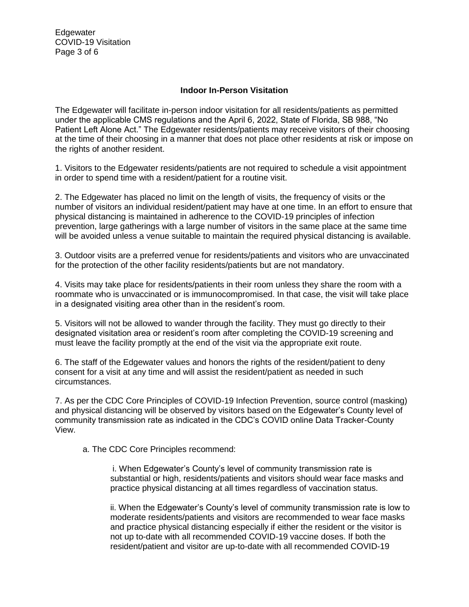Edgewater COVID-19 Visitation Page 3 of 6

#### **Indoor In-Person Visitation**

The Edgewater will facilitate in-person indoor visitation for all residents/patients as permitted under the applicable CMS regulations and the April 6, 2022, State of Florida, SB 988, "No Patient Left Alone Act." The Edgewater residents/patients may receive visitors of their choosing at the time of their choosing in a manner that does not place other residents at risk or impose on the rights of another resident.

1. Visitors to the Edgewater residents/patients are not required to schedule a visit appointment in order to spend time with a resident/patient for a routine visit.

2. The Edgewater has placed no limit on the length of visits, the frequency of visits or the number of visitors an individual resident/patient may have at one time. In an effort to ensure that physical distancing is maintained in adherence to the COVID-19 principles of infection prevention, large gatherings with a large number of visitors in the same place at the same time will be avoided unless a venue suitable to maintain the required physical distancing is available.

3. Outdoor visits are a preferred venue for residents/patients and visitors who are unvaccinated for the protection of the other facility residents/patients but are not mandatory.

4. Visits may take place for residents/patients in their room unless they share the room with a roommate who is unvaccinated or is immunocompromised. In that case, the visit will take place in a designated visiting area other than in the resident's room.

5. Visitors will not be allowed to wander through the facility. They must go directly to their designated visitation area or resident's room after completing the COVID-19 screening and must leave the facility promptly at the end of the visit via the appropriate exit route.

6. The staff of the Edgewater values and honors the rights of the resident/patient to deny consent for a visit at any time and will assist the resident/patient as needed in such circumstances.

7. As per the CDC Core Principles of COVID-19 Infection Prevention, source control (masking) and physical distancing will be observed by visitors based on the Edgewater's County level of community transmission rate as indicated in the CDC's COVID online Data Tracker-County View.

a. The CDC Core Principles recommend:

i. When Edgewater's County's level of community transmission rate is substantial or high, residents/patients and visitors should wear face masks and practice physical distancing at all times regardless of vaccination status.

ii. When the Edgewater's County's level of community transmission rate is low to moderate residents/patients and visitors are recommended to wear face masks and practice physical distancing especially if either the resident or the visitor is not up to-date with all recommended COVID-19 vaccine doses. If both the resident/patient and visitor are up-to-date with all recommended COVID-19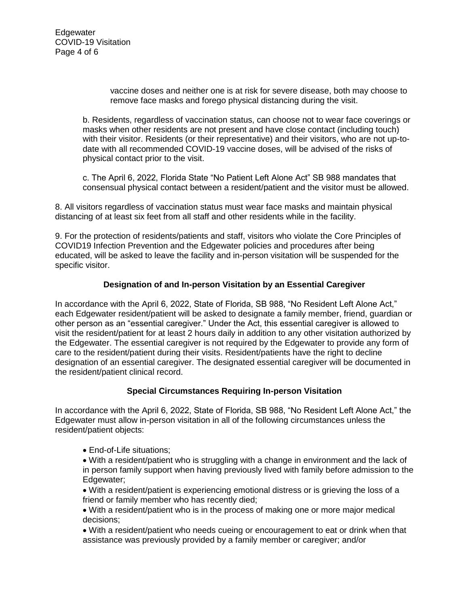Edgewater COVID-19 Visitation Page 4 of 6

> vaccine doses and neither one is at risk for severe disease, both may choose to remove face masks and forego physical distancing during the visit.

b. Residents, regardless of vaccination status, can choose not to wear face coverings or masks when other residents are not present and have close contact (including touch) with their visitor. Residents (or their representative) and their visitors, who are not up-todate with all recommended COVID-19 vaccine doses, will be advised of the risks of physical contact prior to the visit.

c. The April 6, 2022, Florida State "No Patient Left Alone Act" SB 988 mandates that consensual physical contact between a resident/patient and the visitor must be allowed.

8. All visitors regardless of vaccination status must wear face masks and maintain physical distancing of at least six feet from all staff and other residents while in the facility.

9. For the protection of residents/patients and staff, visitors who violate the Core Principles of COVID19 Infection Prevention and the Edgewater policies and procedures after being educated, will be asked to leave the facility and in-person visitation will be suspended for the specific visitor.

## **Designation of and In-person Visitation by an Essential Caregiver**

In accordance with the April 6, 2022, State of Florida, SB 988, "No Resident Left Alone Act," each Edgewater resident/patient will be asked to designate a family member, friend, guardian or other person as an "essential caregiver." Under the Act, this essential caregiver is allowed to visit the resident/patient for at least 2 hours daily in addition to any other visitation authorized by the Edgewater. The essential caregiver is not required by the Edgewater to provide any form of care to the resident/patient during their visits. Resident/patients have the right to decline designation of an essential caregiver. The designated essential caregiver will be documented in the resident/patient clinical record.

#### **Special Circumstances Requiring In-person Visitation**

In accordance with the April 6, 2022, State of Florida, SB 988, "No Resident Left Alone Act," the Edgewater must allow in-person visitation in all of the following circumstances unless the resident/patient objects:

- End-of-Life situations;
- With a resident/patient who is struggling with a change in environment and the lack of in person family support when having previously lived with family before admission to the Edgewater;
- With a resident/patient is experiencing emotional distress or is grieving the loss of a friend or family member who has recently died;
- With a resident/patient who is in the process of making one or more major medical decisions;
- With a resident/patient who needs cueing or encouragement to eat or drink when that assistance was previously provided by a family member or caregiver; and/or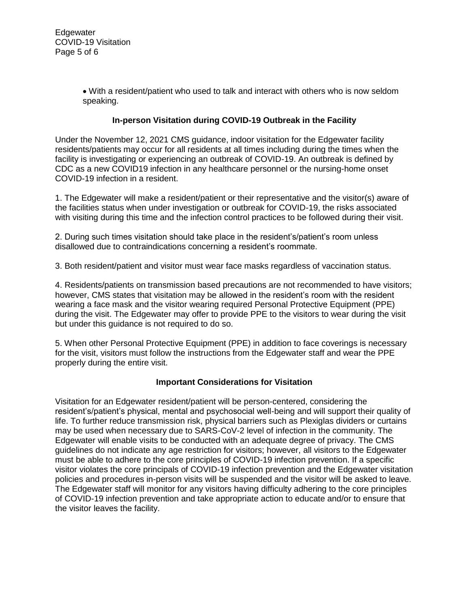With a resident/patient who used to talk and interact with others who is now seldom speaking.

# **In-person Visitation during COVID-19 Outbreak in the Facility**

Under the November 12, 2021 CMS guidance, indoor visitation for the Edgewater facility residents/patients may occur for all residents at all times including during the times when the facility is investigating or experiencing an outbreak of COVID-19. An outbreak is defined by CDC as a new COVID19 infection in any healthcare personnel or the nursing-home onset COVID-19 infection in a resident.

1. The Edgewater will make a resident/patient or their representative and the visitor(s) aware of the facilities status when under investigation or outbreak for COVID-19, the risks associated with visiting during this time and the infection control practices to be followed during their visit.

2. During such times visitation should take place in the resident's/patient's room unless disallowed due to contraindications concerning a resident's roommate.

3. Both resident/patient and visitor must wear face masks regardless of vaccination status.

4. Residents/patients on transmission based precautions are not recommended to have visitors; however, CMS states that visitation may be allowed in the resident's room with the resident wearing a face mask and the visitor wearing required Personal Protective Equipment (PPE) during the visit. The Edgewater may offer to provide PPE to the visitors to wear during the visit but under this guidance is not required to do so.

5. When other Personal Protective Equipment (PPE) in addition to face coverings is necessary for the visit, visitors must follow the instructions from the Edgewater staff and wear the PPE properly during the entire visit.

#### **Important Considerations for Visitation**

Visitation for an Edgewater resident/patient will be person-centered, considering the resident's/patient's physical, mental and psychosocial well-being and will support their quality of life. To further reduce transmission risk, physical barriers such as Plexiglas dividers or curtains may be used when necessary due to SARS-CoV-2 level of infection in the community. The Edgewater will enable visits to be conducted with an adequate degree of privacy. The CMS guidelines do not indicate any age restriction for visitors; however, all visitors to the Edgewater must be able to adhere to the core principles of COVID-19 infection prevention. If a specific visitor violates the core principals of COVID-19 infection prevention and the Edgewater visitation policies and procedures in-person visits will be suspended and the visitor will be asked to leave. The Edgewater staff will monitor for any visitors having difficulty adhering to the core principles of COVID-19 infection prevention and take appropriate action to educate and/or to ensure that the visitor leaves the facility.